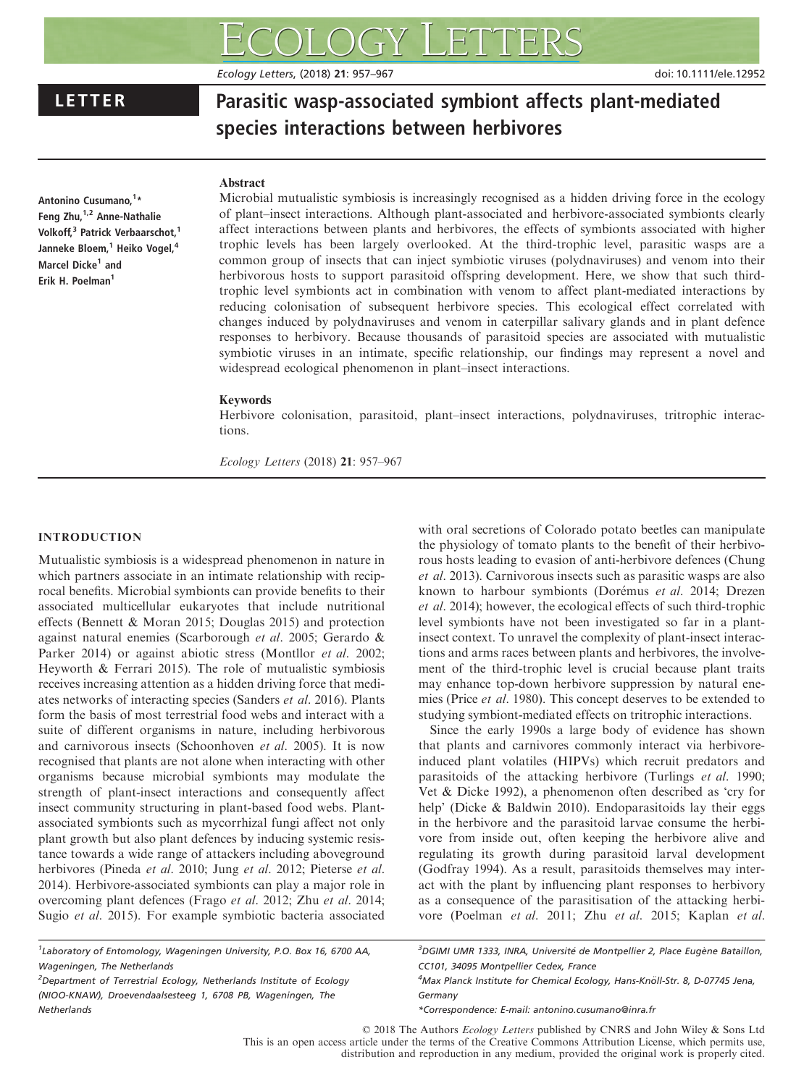Ecology Letters, (2018) 21: 957–967 doi: 10.1111/ele.12952

# LETTER Parasitic wasp-associated symbiont affects plant-mediated species interactions between herbivores

# Abstract

Antonino Cusumano,<sup>1</sup>\* Feng Zhu, <sup>1,2</sup> Anne-Nathalie Volkoff,<sup>3</sup> Patrick Verbaarschot,<sup>1</sup> Janneke Bloem,<sup>1</sup> Heiko Vogel,<sup>4</sup> Marcel Dicke<sup>1</sup> and Erik H. Poelman<sup>1</sup>

Microbial mutualistic symbiosis is increasingly recognised as a hidden driving force in the ecology of plant–insect interactions. Although plant-associated and herbivore-associated symbionts clearly affect interactions between plants and herbivores, the effects of symbionts associated with higher trophic levels has been largely overlooked. At the third-trophic level, parasitic wasps are a common group of insects that can inject symbiotic viruses (polydnaviruses) and venom into their herbivorous hosts to support parasitoid offspring development. Here, we show that such thirdtrophic level symbionts act in combination with venom to affect plant-mediated interactions by reducing colonisation of subsequent herbivore species. This ecological effect correlated with changes induced by polydnaviruses and venom in caterpillar salivary glands and in plant defence responses to herbivory. Because thousands of parasitoid species are associated with mutualistic symbiotic viruses in an intimate, specific relationship, our findings may represent a novel and widespread ecological phenomenon in plant–insect interactions.

# Keywords

Herbivore colonisation, parasitoid, plant–insect interactions, polydnaviruses, tritrophic interactions.

Ecology Letters (2018) 21: 957–967

# INTRODUCTION

Mutualistic symbiosis is a widespread phenomenon in nature in which partners associate in an intimate relationship with reciprocal benefits. Microbial symbionts can provide benefits to their associated multicellular eukaryotes that include nutritional effects (Bennett & Moran 2015; Douglas 2015) and protection against natural enemies (Scarborough et al. 2005; Gerardo & Parker 2014) or against abiotic stress (Montllor et al. 2002; Heyworth & Ferrari 2015). The role of mutualistic symbiosis receives increasing attention as a hidden driving force that mediates networks of interacting species (Sanders et al. 2016). Plants form the basis of most terrestrial food webs and interact with a suite of different organisms in nature, including herbivorous and carnivorous insects (Schoonhoven et al. 2005). It is now recognised that plants are not alone when interacting with other organisms because microbial symbionts may modulate the strength of plant-insect interactions and consequently affect insect community structuring in plant-based food webs. Plantassociated symbionts such as mycorrhizal fungi affect not only plant growth but also plant defences by inducing systemic resistance towards a wide range of attackers including aboveground herbivores (Pineda et al. 2010; Jung et al. 2012; Pieterse et al. 2014). Herbivore-associated symbionts can play a major role in overcoming plant defences (Frago et al. 2012; Zhu et al. 2014; Sugio et al. 2015). For example symbiotic bacteria associated with oral secretions of Colorado potato beetles can manipulate the physiology of tomato plants to the benefit of their herbivorous hosts leading to evasion of anti-herbivore defences (Chung et al. 2013). Carnivorous insects such as parasitic wasps are also known to harbour symbionts (Dorémus et al. 2014; Drezen et al. 2014); however, the ecological effects of such third-trophic level symbionts have not been investigated so far in a plantinsect context. To unravel the complexity of plant-insect interactions and arms races between plants and herbivores, the involvement of the third-trophic level is crucial because plant traits may enhance top-down herbivore suppression by natural enemies (Price et al. 1980). This concept deserves to be extended to studying symbiont-mediated effects on tritrophic interactions.

Since the early 1990s a large body of evidence has shown that plants and carnivores commonly interact via herbivoreinduced plant volatiles (HIPVs) which recruit predators and parasitoids of the attacking herbivore (Turlings et al. 1990; Vet & Dicke 1992), a phenomenon often described as 'cry for help' (Dicke & Baldwin 2010). Endoparasitoids lay their eggs in the herbivore and the parasitoid larvae consume the herbivore from inside out, often keeping the herbivore alive and regulating its growth during parasitoid larval development (Godfray 1994). As a result, parasitoids themselves may interact with the plant by influencing plant responses to herbivory as a consequence of the parasitisation of the attacking herbivore (Poelman et al. 2011; Zhu et al. 2015; Kaplan et al.

<sup>1</sup>Laboratory of Entomology, Wageningen University, P.O. Box 16, 6700 AA, Wageningen, The Netherlands

<sup>2</sup>Department of Terrestrial Ecology, Netherlands Institute of Ecology (NIOO-KNAW), Droevendaalsesteeg 1, 6708 PB, Wageningen, The Netherlands

<sup>3</sup>DGIMI UMR 1333, INRA, Université de Montpellier 2, Place Eugène Bataillon, CC101, 34095 Montpellier Cedex, France

4Max Planck Institute for Chemical Ecology, Hans-Knöll-Str. 8, D-07745 Jena, Germany

\*Correspondence: E-mail: antonino.cusumano@inra.fr

© 2018 The Authors Ecology Letters published by CNRS and John Wiley & Sons Ltd This is an open access article under the terms of the [Creative Commons Attribution](http://creativecommons.org/licenses/by/4.0/) License, which permits use, distribution and reproduction in any medium, provided the original work is properly cited.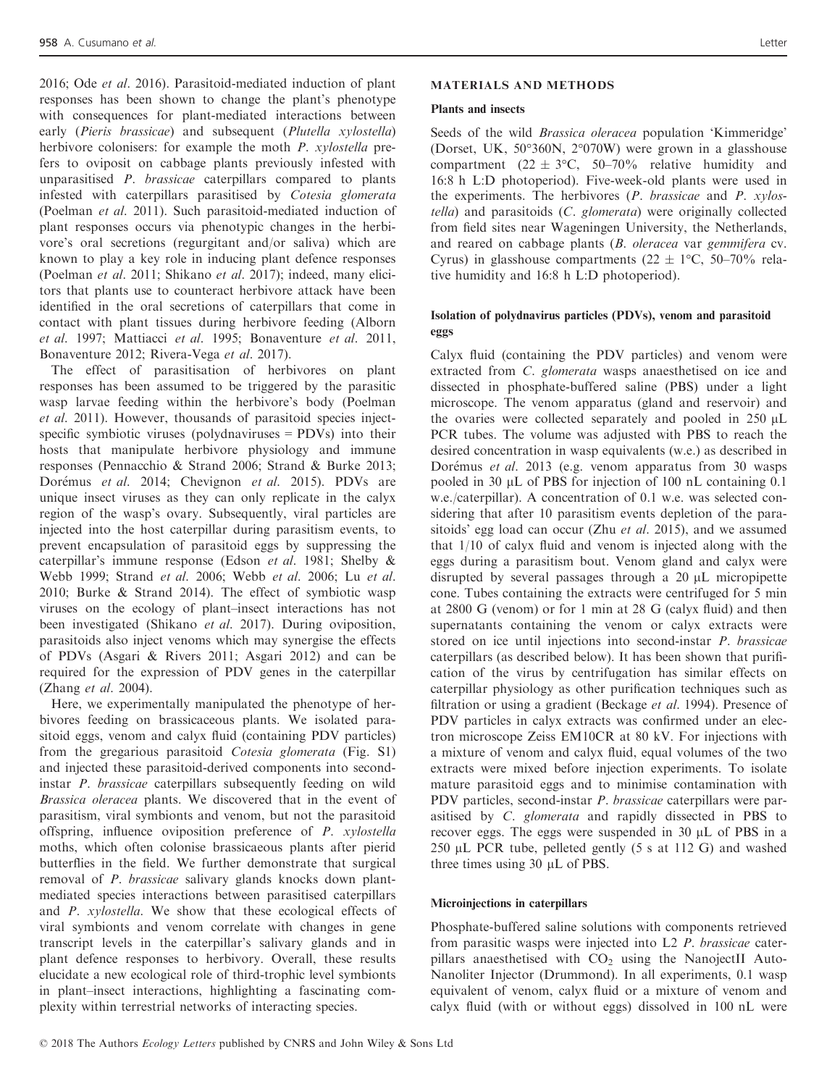2016; Ode et al. 2016). Parasitoid-mediated induction of plant responses has been shown to change the plant's phenotype with consequences for plant-mediated interactions between early (Pieris brassicae) and subsequent (Plutella xylostella) herbivore colonisers: for example the moth P. xylostella prefers to oviposit on cabbage plants previously infested with unparasitised P. brassicae caterpillars compared to plants infested with caterpillars parasitised by Cotesia glomerata (Poelman et al. 2011). Such parasitoid-mediated induction of plant responses occurs via phenotypic changes in the herbivore's oral secretions (regurgitant and/or saliva) which are known to play a key role in inducing plant defence responses (Poelman et al. 2011; Shikano et al. 2017); indeed, many elicitors that plants use to counteract herbivore attack have been identified in the oral secretions of caterpillars that come in contact with plant tissues during herbivore feeding (Alborn et al. 1997; Mattiacci et al. 1995; Bonaventure et al. 2011, Bonaventure 2012; Rivera-Vega et al. 2017).

The effect of parasitisation of herbivores on plant responses has been assumed to be triggered by the parasitic wasp larvae feeding within the herbivore's body (Poelman et al. 2011). However, thousands of parasitoid species injectspecific symbiotic viruses (polydnaviruses = PDVs) into their hosts that manipulate herbivore physiology and immune responses (Pennacchio & Strand 2006; Strand & Burke 2013; Dorémus et al. 2014; Chevignon et al. 2015). PDVs are unique insect viruses as they can only replicate in the calyx region of the wasp's ovary. Subsequently, viral particles are injected into the host caterpillar during parasitism events, to prevent encapsulation of parasitoid eggs by suppressing the caterpillar's immune response (Edson et al. 1981; Shelby & Webb 1999; Strand et al. 2006; Webb et al. 2006; Lu et al. 2010; Burke & Strand 2014). The effect of symbiotic wasp viruses on the ecology of plant–insect interactions has not been investigated (Shikano et al. 2017). During oviposition, parasitoids also inject venoms which may synergise the effects of PDVs (Asgari & Rivers 2011; Asgari 2012) and can be required for the expression of PDV genes in the caterpillar (Zhang et al. 2004).

Here, we experimentally manipulated the phenotype of herbivores feeding on brassicaceous plants. We isolated parasitoid eggs, venom and calyx fluid (containing PDV particles) from the gregarious parasitoid Cotesia glomerata (Fig. S1) and injected these parasitoid-derived components into secondinstar P. brassicae caterpillars subsequently feeding on wild Brassica oleracea plants. We discovered that in the event of parasitism, viral symbionts and venom, but not the parasitoid offspring, influence oviposition preference of P. xylostella moths, which often colonise brassicaeous plants after pierid butterflies in the field. We further demonstrate that surgical removal of P. brassicae salivary glands knocks down plantmediated species interactions between parasitised caterpillars and P. xylostella. We show that these ecological effects of viral symbionts and venom correlate with changes in gene transcript levels in the caterpillar's salivary glands and in plant defence responses to herbivory. Overall, these results elucidate a new ecological role of third-trophic level symbionts in plant–insect interactions, highlighting a fascinating complexity within terrestrial networks of interacting species.

#### MATERIALS AND METHODS

#### Plants and insects

Seeds of the wild Brassica oleracea population 'Kimmeridge' (Dorset, UK, 50°360N, 2°070W) were grown in a glasshouse compartment (22  $\pm$  3°C, 50–70% relative humidity and 16:8 h L:D photoperiod). Five-week-old plants were used in the experiments. The herbivores (P. brassicae and P. xylostella) and parasitoids (C. glomerata) were originally collected from field sites near Wageningen University, the Netherlands, and reared on cabbage plants (B. oleracea var gemmifera cv. Cyrus) in glasshouse compartments  $(22 \pm 1^{\circ}C, 50-70^{\circ})$  relative humidity and 16:8 h L:D photoperiod).

# Isolation of polydnavirus particles (PDVs), venom and parasitoid eggs

Calyx fluid (containing the PDV particles) and venom were extracted from C. glomerata wasps anaesthetised on ice and dissected in phosphate-buffered saline (PBS) under a light microscope. The venom apparatus (gland and reservoir) and the ovaries were collected separately and pooled in  $250 \mu L$ PCR tubes. The volume was adjusted with PBS to reach the desired concentration in wasp equivalents (w.e.) as described in Dorémus et al. 2013 (e.g. venom apparatus from 30 wasps pooled in 30  $\mu$ L of PBS for injection of 100 nL containing 0.1 w.e./caterpillar). A concentration of 0.1 w.e. was selected considering that after 10 parasitism events depletion of the parasitoids' egg load can occur (Zhu et al. 2015), and we assumed that 1/10 of calyx fluid and venom is injected along with the eggs during a parasitism bout. Venom gland and calyx were disrupted by several passages through a  $20 \mu L$  micropipette cone. Tubes containing the extracts were centrifuged for 5 min at 2800 G (venom) or for 1 min at 28 G (calyx fluid) and then supernatants containing the venom or calyx extracts were stored on ice until injections into second-instar P. brassicae caterpillars (as described below). It has been shown that purification of the virus by centrifugation has similar effects on caterpillar physiology as other purification techniques such as filtration or using a gradient (Beckage et al. 1994). Presence of PDV particles in calyx extracts was confirmed under an electron microscope Zeiss EM10CR at 80 kV. For injections with a mixture of venom and calyx fluid, equal volumes of the two extracts were mixed before injection experiments. To isolate mature parasitoid eggs and to minimise contamination with PDV particles, second-instar P. brassicae caterpillars were parasitised by C. glomerata and rapidly dissected in PBS to recover eggs. The eggs were suspended in  $30 \mu L$  of PBS in a  $250 \mu L$  PCR tube, pelleted gently (5 s at 112 G) and washed three times using  $30 \mu L$  of PBS.

#### Microinjections in caterpillars

Phosphate-buffered saline solutions with components retrieved from parasitic wasps were injected into L2 P. brassicae caterpillars anaesthetised with  $CO<sub>2</sub>$  using the NanojectII Auto-Nanoliter Injector (Drummond). In all experiments, 0.1 wasp equivalent of venom, calyx fluid or a mixture of venom and calyx fluid (with or without eggs) dissolved in 100 nL were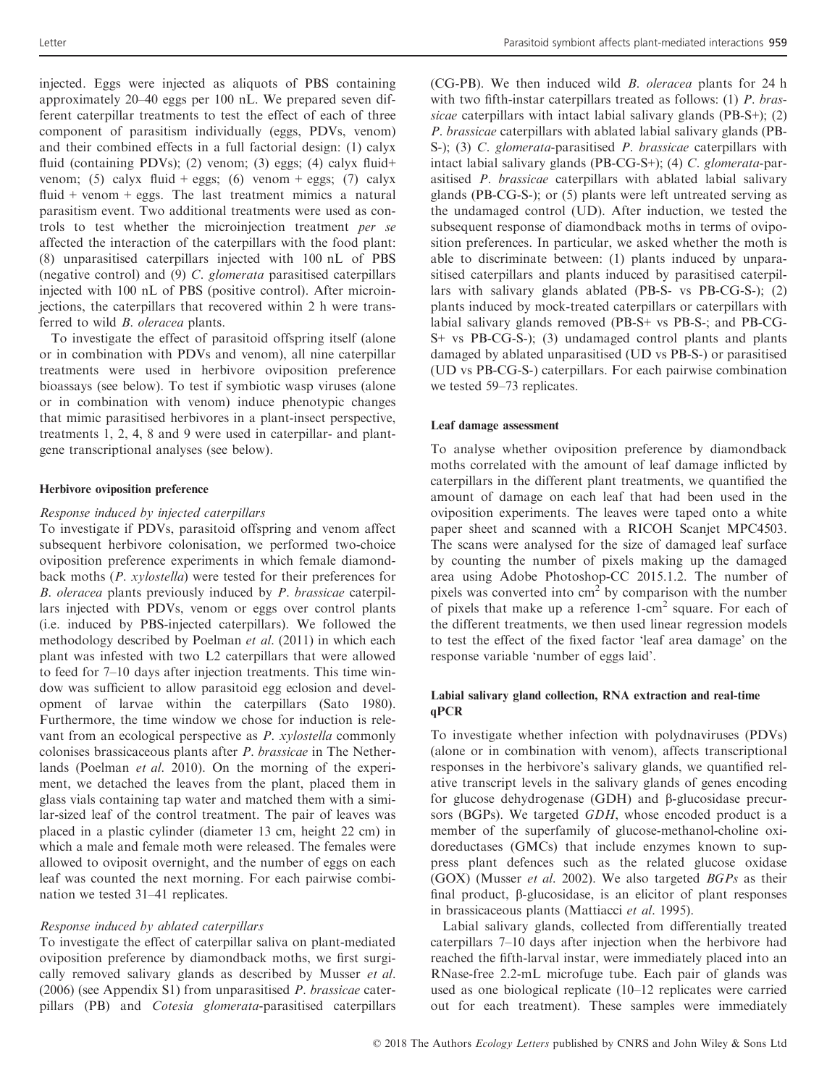injected. Eggs were injected as aliquots of PBS containing approximately 20–40 eggs per 100 nL. We prepared seven different caterpillar treatments to test the effect of each of three component of parasitism individually (eggs, PDVs, venom) and their combined effects in a full factorial design: (1) calyx fluid (containing PDVs); (2) venom; (3) eggs; (4) calyx fluid+ venom; (5) calyx fluid + eggs; (6) venom + eggs; (7) calyx fluid + venom + eggs. The last treatment mimics a natural parasitism event. Two additional treatments were used as controls to test whether the microinjection treatment per se affected the interaction of the caterpillars with the food plant: (8) unparasitised caterpillars injected with 100 nL of PBS (negative control) and (9) C. glomerata parasitised caterpillars injected with 100 nL of PBS (positive control). After microinjections, the caterpillars that recovered within 2 h were transferred to wild B. oleracea plants.

To investigate the effect of parasitoid offspring itself (alone or in combination with PDVs and venom), all nine caterpillar treatments were used in herbivore oviposition preference bioassays (see below). To test if symbiotic wasp viruses (alone or in combination with venom) induce phenotypic changes that mimic parasitised herbivores in a plant-insect perspective, treatments 1, 2, 4, 8 and 9 were used in caterpillar- and plantgene transcriptional analyses (see below).

#### Herbivore oviposition preference

#### Response induced by injected caterpillars

To investigate if PDVs, parasitoid offspring and venom affect subsequent herbivore colonisation, we performed two-choice oviposition preference experiments in which female diamondback moths (P. xylostella) were tested for their preferences for B. oleracea plants previously induced by P. brassicae caterpillars injected with PDVs, venom or eggs over control plants (i.e. induced by PBS-injected caterpillars). We followed the methodology described by Poelman et al. (2011) in which each plant was infested with two L2 caterpillars that were allowed to feed for 7–10 days after injection treatments. This time window was sufficient to allow parasitoid egg eclosion and development of larvae within the caterpillars (Sato 1980). Furthermore, the time window we chose for induction is relevant from an ecological perspective as P. xylostella commonly colonises brassicaceous plants after P. brassicae in The Netherlands (Poelman *et al.* 2010). On the morning of the experiment, we detached the leaves from the plant, placed them in glass vials containing tap water and matched them with a similar-sized leaf of the control treatment. The pair of leaves was placed in a plastic cylinder (diameter 13 cm, height 22 cm) in which a male and female moth were released. The females were allowed to oviposit overnight, and the number of eggs on each leaf was counted the next morning. For each pairwise combination we tested 31–41 replicates.

# Response induced by ablated caterpillars

To investigate the effect of caterpillar saliva on plant-mediated oviposition preference by diamondback moths, we first surgically removed salivary glands as described by Musser et al. (2006) (see Appendix S1) from unparasitised P. brassicae caterpillars (PB) and Cotesia glomerata-parasitised caterpillars

(CG-PB). We then induced wild B. oleracea plants for 24 h with two fifth-instar caterpillars treated as follows: (1) P. brassicae caterpillars with intact labial salivary glands (PB-S+); (2) P. brassicae caterpillars with ablated labial salivary glands (PB-S-); (3) C. glomerata-parasitised P. brassicae caterpillars with intact labial salivary glands (PB-CG-S+); (4) C. glomerata-parasitised P. brassicae caterpillars with ablated labial salivary glands (PB-CG-S-); or (5) plants were left untreated serving as the undamaged control (UD). After induction, we tested the subsequent response of diamondback moths in terms of oviposition preferences. In particular, we asked whether the moth is able to discriminate between: (1) plants induced by unparasitised caterpillars and plants induced by parasitised caterpillars with salivary glands ablated (PB-S- vs PB-CG-S-); (2) plants induced by mock-treated caterpillars or caterpillars with labial salivary glands removed (PB-S+ vs PB-S-; and PB-CG-S+ vs PB-CG-S-); (3) undamaged control plants and plants damaged by ablated unparasitised (UD vs PB-S-) or parasitised (UD vs PB-CG-S-) caterpillars. For each pairwise combination we tested 59–73 replicates.

# Leaf damage assessment

To analyse whether oviposition preference by diamondback moths correlated with the amount of leaf damage inflicted by caterpillars in the different plant treatments, we quantified the amount of damage on each leaf that had been used in the oviposition experiments. The leaves were taped onto a white paper sheet and scanned with a RICOH Scanjet MPC4503. The scans were analysed for the size of damaged leaf surface by counting the number of pixels making up the damaged area using Adobe Photoshop-CC 2015.1.2. The number of pixels was converted into  $cm<sup>2</sup>$  by comparison with the number of pixels that make up a reference  $1$ -cm<sup>2</sup> square. For each of the different treatments, we then used linear regression models to test the effect of the fixed factor 'leaf area damage' on the response variable 'number of eggs laid'.

# Labial salivary gland collection, RNA extraction and real-time qPCR

To investigate whether infection with polydnaviruses (PDVs) (alone or in combination with venom), affects transcriptional responses in the herbivore's salivary glands, we quantified relative transcript levels in the salivary glands of genes encoding for glucose dehydrogenase (GDH) and  $\beta$ -glucosidase precursors (BGPs). We targeted GDH, whose encoded product is a member of the superfamily of glucose-methanol-choline oxidoreductases (GMCs) that include enzymes known to suppress plant defences such as the related glucose oxidase (GOX) (Musser *et al.* 2002). We also targeted  $BGPs$  as their final product,  $\beta$ -glucosidase, is an elicitor of plant responses in brassicaceous plants (Mattiacci et al. 1995).

Labial salivary glands, collected from differentially treated caterpillars 7–10 days after injection when the herbivore had reached the fifth-larval instar, were immediately placed into an RNase-free 2.2-mL microfuge tube. Each pair of glands was used as one biological replicate (10–12 replicates were carried out for each treatment). These samples were immediately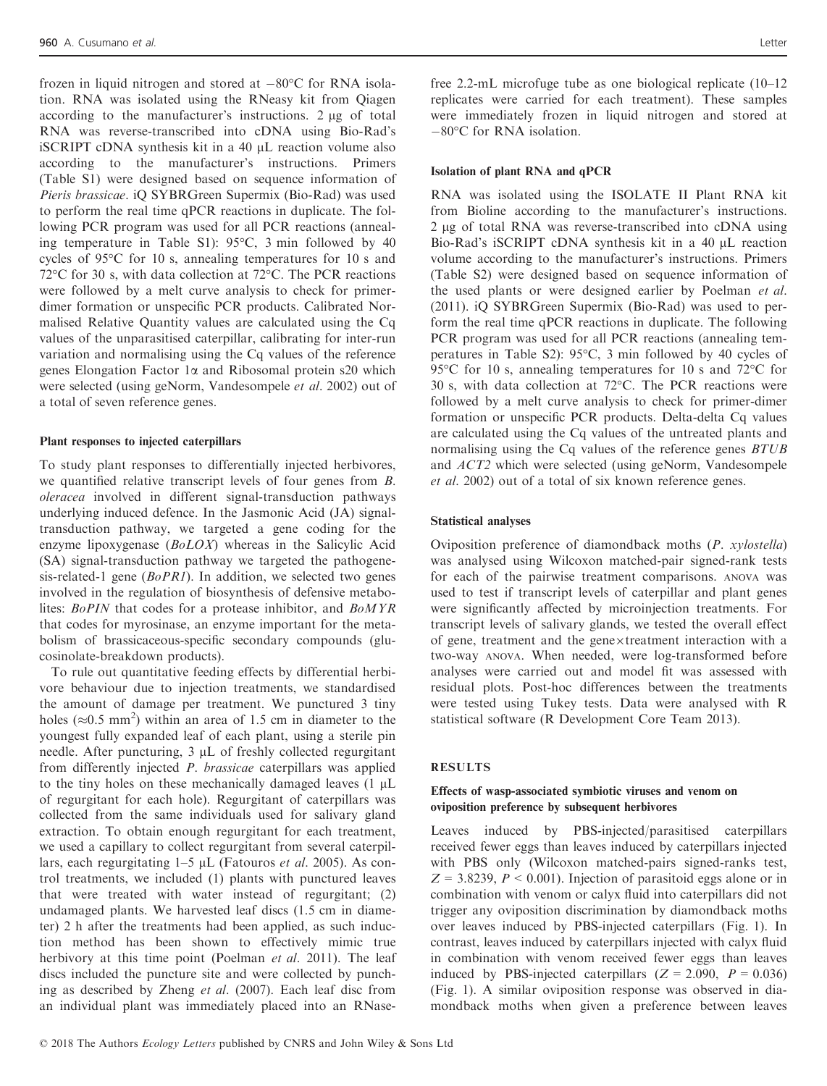frozen in liquid nitrogen and stored at  $-80^{\circ}$ C for RNA isolation. RNA was isolated using the RNeasy kit from Qiagen according to the manufacturer's instructions. 2 ug of total RNA was reverse-transcribed into cDNA using Bio-Rad's iSCRIPT cDNA synthesis kit in a 40 µL reaction volume also according to the manufacturer's instructions. Primers (Table S1) were designed based on sequence information of Pieris brassicae. iQ SYBRGreen Supermix (Bio-Rad) was used to perform the real time qPCR reactions in duplicate. The following PCR program was used for all PCR reactions (annealing temperature in Table S1): 95°C, 3 min followed by 40 cycles of 95°C for 10 s, annealing temperatures for 10 s and 72°C for 30 s, with data collection at 72°C. The PCR reactions were followed by a melt curve analysis to check for primerdimer formation or unspecific PCR products. Calibrated Normalised Relative Quantity values are calculated using the Cq values of the unparasitised caterpillar, calibrating for inter-run variation and normalising using the Cq values of the reference genes Elongation Factor 1a and Ribosomal protein s20 which were selected (using geNorm, Vandesompele et al. 2002) out of a total of seven reference genes.

#### Plant responses to injected caterpillars

To study plant responses to differentially injected herbivores, we quantified relative transcript levels of four genes from B. oleracea involved in different signal-transduction pathways underlying induced defence. In the Jasmonic Acid (JA) signaltransduction pathway, we targeted a gene coding for the enzyme lipoxygenase (BoLOX) whereas in the Salicylic Acid (SA) signal-transduction pathway we targeted the pathogenesis-related-1 gene ( $BoPRI$ ). In addition, we selected two genes involved in the regulation of biosynthesis of defensive metabolites: BoPIN that codes for a protease inhibitor, and BoMYR that codes for myrosinase, an enzyme important for the metabolism of brassicaceous-specific secondary compounds (glucosinolate-breakdown products).

To rule out quantitative feeding effects by differential herbivore behaviour due to injection treatments, we standardised the amount of damage per treatment. We punctured 3 tiny holes ( $\approx$ 0.5 mm<sup>2</sup>) within an area of 1.5 cm in diameter to the youngest fully expanded leaf of each plant, using a sterile pin needle. After puncturing,  $3 \mu L$  of freshly collected regurgitant from differently injected P. brassicae caterpillars was applied to the tiny holes on these mechanically damaged leaves  $(1 \mu L)$ of regurgitant for each hole). Regurgitant of caterpillars was collected from the same individuals used for salivary gland extraction. To obtain enough regurgitant for each treatment, we used a capillary to collect regurgitant from several caterpillars, each regurgitating  $1-5$  µL (Fatouros et al. 2005). As control treatments, we included (1) plants with punctured leaves that were treated with water instead of regurgitant; (2) undamaged plants. We harvested leaf discs (1.5 cm in diameter) 2 h after the treatments had been applied, as such induction method has been shown to effectively mimic true herbivory at this time point (Poelman et al. 2011). The leaf discs included the puncture site and were collected by punching as described by Zheng et al. (2007). Each leaf disc from an individual plant was immediately placed into an RNasefree 2.2-mL microfuge tube as one biological replicate (10–12 replicates were carried for each treatment). These samples were immediately frozen in liquid nitrogen and stored at  $-80^{\circ}$ C for RNA isolation.

#### Isolation of plant RNA and qPCR

RNA was isolated using the ISOLATE II Plant RNA kit from Bioline according to the manufacturer's instructions. 2 µg of total RNA was reverse-transcribed into cDNA using Bio-Rad's iSCRIPT cDNA synthesis kit in a 40 µL reaction volume according to the manufacturer's instructions. Primers (Table S2) were designed based on sequence information of the used plants or were designed earlier by Poelman et al. (2011). iQ SYBRGreen Supermix (Bio-Rad) was used to perform the real time qPCR reactions in duplicate. The following PCR program was used for all PCR reactions (annealing temperatures in Table S2): 95°C, 3 min followed by 40 cycles of 95°C for 10 s, annealing temperatures for 10 s and 72°C for 30 s, with data collection at 72°C. The PCR reactions were followed by a melt curve analysis to check for primer-dimer formation or unspecific PCR products. Delta-delta Cq values are calculated using the Cq values of the untreated plants and normalising using the Cq values of the reference genes BTUB and ACT2 which were selected (using geNorm, Vandesompele et al. 2002) out of a total of six known reference genes.

### Statistical analyses

Oviposition preference of diamondback moths (P. xylostella) was analysed using Wilcoxon matched-pair signed-rank tests for each of the pairwise treatment comparisons. ANOVA was used to test if transcript levels of caterpillar and plant genes were significantly affected by microinjection treatments. For transcript levels of salivary glands, we tested the overall effect of gene, treatment and the gene $\times$ treatment interaction with a two-way ANOVA. When needed, were log-transformed before analyses were carried out and model fit was assessed with residual plots. Post-hoc differences between the treatments were tested using Tukey tests. Data were analysed with R statistical software (R Development Core Team 2013).

# RESULTS

# Effects of wasp-associated symbiotic viruses and venom on oviposition preference by subsequent herbivores

Leaves induced by PBS-injected/parasitised caterpillars received fewer eggs than leaves induced by caterpillars injected with PBS only (Wilcoxon matched-pairs signed-ranks test,  $Z = 3.8239$ ,  $P < 0.001$ ). Injection of parasitoid eggs alone or in combination with venom or calyx fluid into caterpillars did not trigger any oviposition discrimination by diamondback moths over leaves induced by PBS-injected caterpillars (Fig. 1). In contrast, leaves induced by caterpillars injected with calyx fluid in combination with venom received fewer eggs than leaves induced by PBS-injected caterpillars ( $Z = 2.090$ ,  $P = 0.036$ ) (Fig. 1). A similar oviposition response was observed in diamondback moths when given a preference between leaves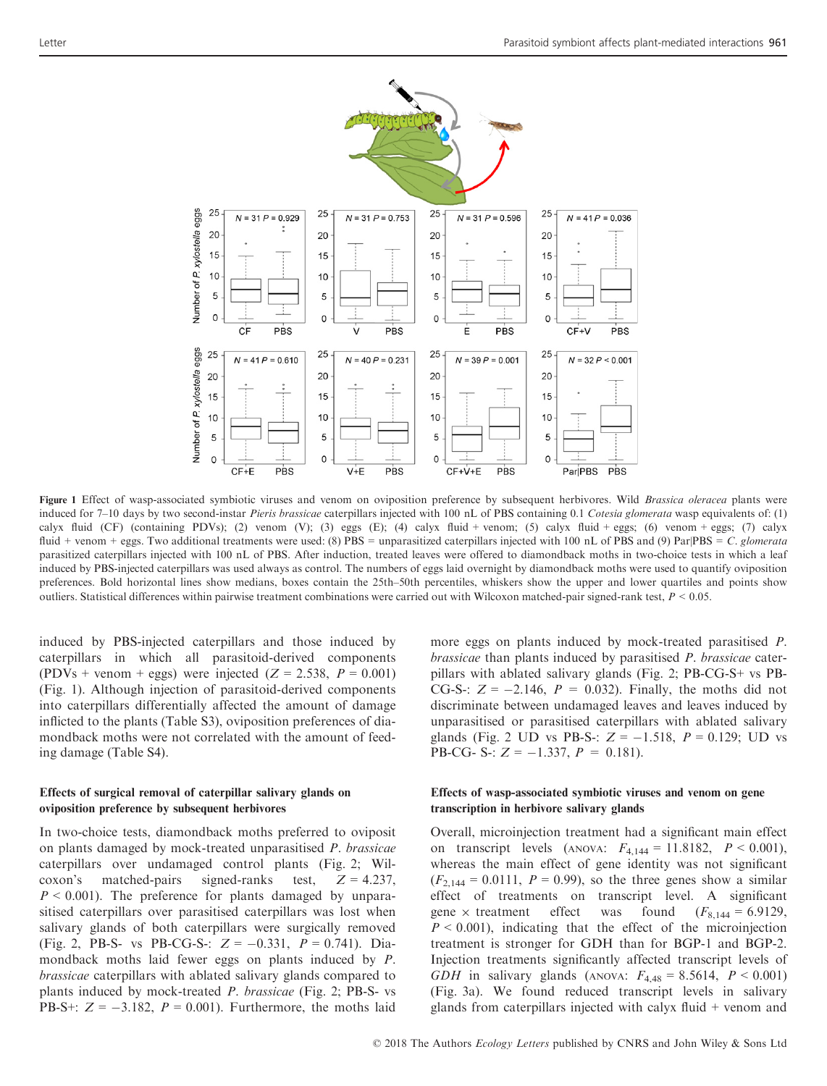

Figure 1 Effect of wasp-associated symbiotic viruses and venom on oviposition preference by subsequent herbivores. Wild Brassica oleracea plants were induced for 7-10 days by two second-instar Pieris brassicae caterpillars injected with 100 nL of PBS containing 0.1 Cotesia glomerata wasp equivalents of: (1) calyx fluid (CF) (containing PDVs); (2) venom (V); (3) eggs (E); (4) calyx fluid + venom; (5) calyx fluid + eggs; (6) venom + eggs; (7) calyx fluid + venom + eggs. Two additional treatments were used: (8) PBS = unparasitized caterpillars injected with 100 nL of PBS and (9) Par|PBS = C. glomerata parasitized caterpillars injected with 100 nL of PBS. After induction, treated leaves were offered to diamondback moths in two-choice tests in which a leaf induced by PBS-injected caterpillars was used always as control. The numbers of eggs laid overnight by diamondback moths were used to quantify oviposition preferences. Bold horizontal lines show medians, boxes contain the 25th–50th percentiles, whiskers show the upper and lower quartiles and points show outliers. Statistical differences within pairwise treatment combinations were carried out with Wilcoxon matched-pair signed-rank test,  $P < 0.05$ .

induced by PBS-injected caterpillars and those induced by caterpillars in which all parasitoid-derived components (PDVs + venom + eggs) were injected ( $Z = 2.538$ ,  $P = 0.001$ ) (Fig. 1). Although injection of parasitoid-derived components into caterpillars differentially affected the amount of damage inflicted to the plants (Table S3), oviposition preferences of diamondback moths were not correlated with the amount of feeding damage (Table S4).

# Effects of surgical removal of caterpillar salivary glands on oviposition preference by subsequent herbivores

In two-choice tests, diamondback moths preferred to oviposit on plants damaged by mock-treated unparasitised P. brassicae caterpillars over undamaged control plants (Fig. 2; Wilcoxon's matched-pairs signed-ranks test,  $Z = 4.237$ ,  $P < 0.001$ ). The preference for plants damaged by unparasitised caterpillars over parasitised caterpillars was lost when salivary glands of both caterpillars were surgically removed (Fig. 2, PB-S- vs PB-CG-S-:  $Z = -0.331$ ,  $P = 0.741$ ). Diamondback moths laid fewer eggs on plants induced by P. brassicae caterpillars with ablated salivary glands compared to plants induced by mock-treated P. brassicae (Fig. 2; PB-S- vs PB-S+:  $Z = -3.182$ ,  $P = 0.001$ ). Furthermore, the moths laid more eggs on plants induced by mock-treated parasitised P. brassicae than plants induced by parasitised P. brassicae caterpillars with ablated salivary glands (Fig. 2; PB-CG-S+ vs PB-CG-S-:  $Z = -2.146$ ,  $P = 0.032$ ). Finally, the moths did not discriminate between undamaged leaves and leaves induced by unparasitised or parasitised caterpillars with ablated salivary glands (Fig. 2 UD vs PB-S-:  $Z = -1.518$ ,  $P = 0.129$ ; UD vs PB-CG- S-:  $Z = -1.337$ ,  $P = 0.181$ ).

# Effects of wasp-associated symbiotic viruses and venom on gene transcription in herbivore salivary glands

Overall, microinjection treatment had a significant main effect on transcript levels (ANOVA:  $F_{4,144} = 11.8182$ ,  $P < 0.001$ ), whereas the main effect of gene identity was not significant  $(F_{2,144} = 0.0111, P = 0.99)$ , so the three genes show a similar effect of treatments on transcript level. A significant gene  $\times$  treatment effect was found  $(F_{8,144} = 6.9129)$ ,  $P < 0.001$ ), indicating that the effect of the microinjection treatment is stronger for GDH than for BGP-1 and BGP-2. Injection treatments significantly affected transcript levels of GDH in salivary glands (ANOVA:  $F_{4,48} = 8.5614, P < 0.001$ ) (Fig. 3a). We found reduced transcript levels in salivary glands from caterpillars injected with calyx fluid  $+$  venom and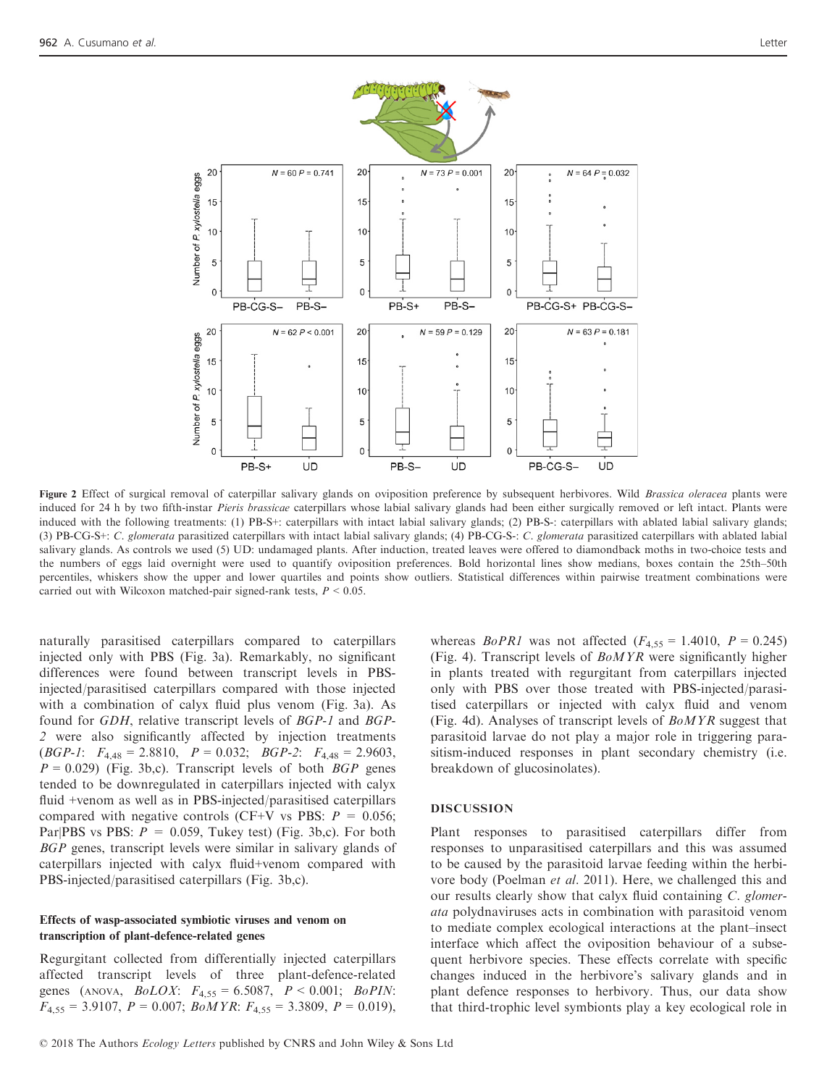

Figure 2 Effect of surgical removal of caterpillar salivary glands on oviposition preference by subsequent herbivores. Wild Brassica oleracea plants were induced for 24 h by two fifth-instar Pieris brassicae caterpillars whose labial salivary glands had been either surgically removed or left intact. Plants were induced with the following treatments: (1) PB-S+: caterpillars with intact labial salivary glands; (2) PB-S-: caterpillars with ablated labial salivary glands; (3) PB-CG-S+: C. glomerata parasitized caterpillars with intact labial salivary glands; (4) PB-CG-S-: C. glomerata parasitized caterpillars with ablated labial salivary glands. As controls we used (5) UD: undamaged plants. After induction, treated leaves were offered to diamondback moths in two-choice tests and the numbers of eggs laid overnight were used to quantify oviposition preferences. Bold horizontal lines show medians, boxes contain the 25th–50th percentiles, whiskers show the upper and lower quartiles and points show outliers. Statistical differences within pairwise treatment combinations were carried out with Wilcoxon matched-pair signed-rank tests,  $P < 0.05$ .

naturally parasitised caterpillars compared to caterpillars injected only with PBS (Fig. 3a). Remarkably, no significant differences were found between transcript levels in PBSinjected/parasitised caterpillars compared with those injected with a combination of calyx fluid plus venom (Fig. 3a). As found for GDH, relative transcript levels of BGP-1 and BGP-2 were also significantly affected by injection treatments (*BGP-1*:  $F_{4,48} = 2.8810$ ,  $P = 0.032$ ; *BGP-2*:  $F_{4,48} = 2.9603$ ,  $P = 0.029$ ) (Fig. 3b,c). Transcript levels of both *BGP* genes tended to be downregulated in caterpillars injected with calyx fluid +venom as well as in PBS-injected/parasitised caterpillars compared with negative controls (CF+V vs PBS:  $P = 0.056$ ; Par|PBS vs PBS:  $P = 0.059$ , Tukey test) (Fig. 3b,c). For both BGP genes, transcript levels were similar in salivary glands of caterpillars injected with calyx fluid+venom compared with PBS-injected/parasitised caterpillars (Fig. 3b,c).

### Effects of wasp-associated symbiotic viruses and venom on transcription of plant-defence-related genes

Regurgitant collected from differentially injected caterpillars affected transcript levels of three plant-defence-related genes (ANOVA,  $B_0LOX$ :  $F_{4,55} = 6.5087$ ,  $P < 0.001$ ;  $B_0PIN$ :  $F_{4,55} = 3.9107$ ,  $P = 0.007$ ;  $BoMYR$ :  $F_{4,55} = 3.3809$ ,  $P = 0.019$ ), whereas *BoPR1* was not affected  $(F_{4,55} = 1.4010, P = 0.245)$ (Fig. 4). Transcript levels of BoMYR were significantly higher in plants treated with regurgitant from caterpillars injected only with PBS over those treated with PBS-injected/parasitised caterpillars or injected with calyx fluid and venom (Fig. 4d). Analyses of transcript levels of  $BoMYR$  suggest that parasitoid larvae do not play a major role in triggering parasitism-induced responses in plant secondary chemistry (i.e. breakdown of glucosinolates).

#### DISCUSSION

Plant responses to parasitised caterpillars differ from responses to unparasitised caterpillars and this was assumed to be caused by the parasitoid larvae feeding within the herbivore body (Poelman et al. 2011). Here, we challenged this and our results clearly show that calyx fluid containing C. glomerata polydnaviruses acts in combination with parasitoid venom to mediate complex ecological interactions at the plant–insect interface which affect the oviposition behaviour of a subsequent herbivore species. These effects correlate with specific changes induced in the herbivore's salivary glands and in plant defence responses to herbivory. Thus, our data show that third-trophic level symbionts play a key ecological role in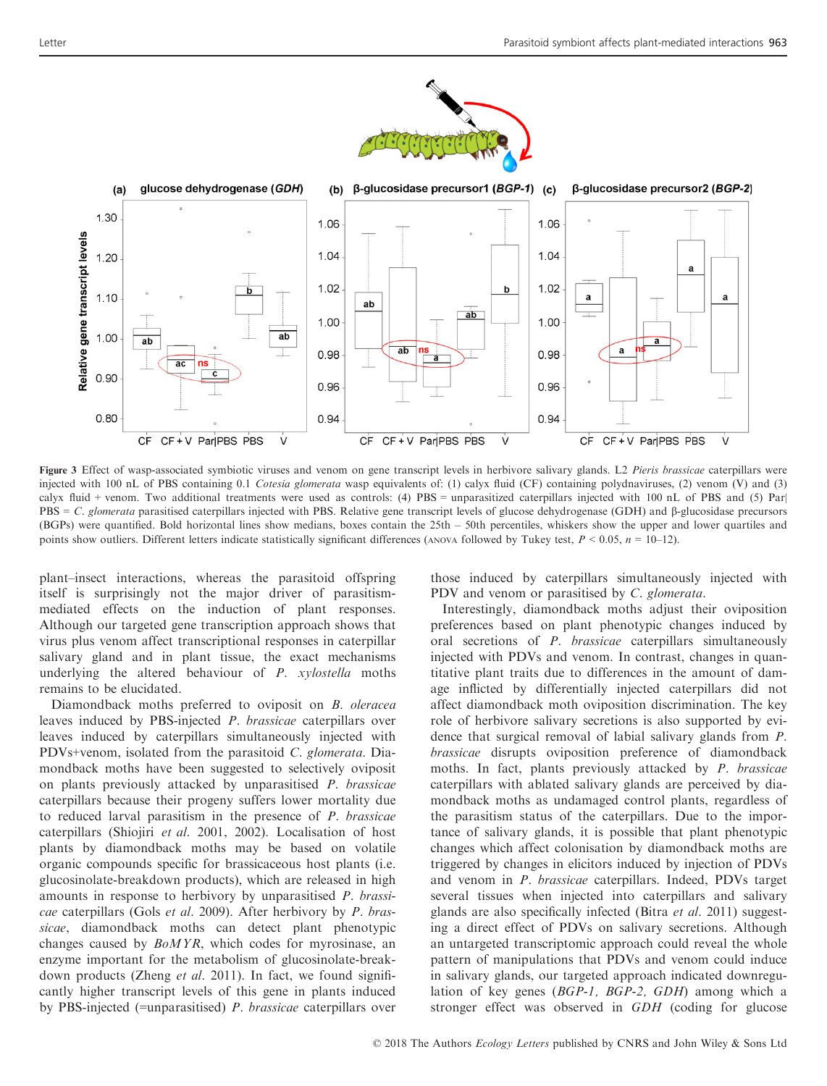

Figure 3 Effect of wasp-associated symbiotic viruses and venom on gene transcript levels in herbivore salivary glands. L2 Pieris brassicae caterpillars were injected with 100 nL of PBS containing 0.1 Cotesia glomerata wasp equivalents of: (1) calyx fluid (CF) containing polydnaviruses, (2) venom (V) and (3) calyx fluid + venom. Two additional treatments were used as controls: (4) PBS = unparasitized caterpillars injected with 100 nL of PBS and (5) Par| PBS = C. glomerata parasitised caterpillars injected with PBS. Relative gene transcript levels of glucose dehydrogenase (GDH) and  $\beta$ -glucosidase precursors (BGPs) were quantified. Bold horizontal lines show medians, boxes contain the 25th – 50th percentiles, whiskers show the upper and lower quartiles and points show outliers. Different letters indicate statistically significant differences (ANOVA followed by Tukey test,  $P \le 0.05$ ,  $n = 10-12$ ).

plant–insect interactions, whereas the parasitoid offspring itself is surprisingly not the major driver of parasitismmediated effects on the induction of plant responses. Although our targeted gene transcription approach shows that virus plus venom affect transcriptional responses in caterpillar salivary gland and in plant tissue, the exact mechanisms underlying the altered behaviour of P. xylostella moths remains to be elucidated.

Diamondback moths preferred to oviposit on B. oleracea leaves induced by PBS-injected P. brassicae caterpillars over leaves induced by caterpillars simultaneously injected with PDVs+venom, isolated from the parasitoid C. glomerata. Diamondback moths have been suggested to selectively oviposit on plants previously attacked by unparasitised P. brassicae caterpillars because their progeny suffers lower mortality due to reduced larval parasitism in the presence of P. brassicae caterpillars (Shiojiri et al. 2001, 2002). Localisation of host plants by diamondback moths may be based on volatile organic compounds specific for brassicaceous host plants (i.e. glucosinolate-breakdown products), which are released in high amounts in response to herbivory by unparasitised P. brassicae caterpillars (Gols et al. 2009). After herbivory by P. brassicae, diamondback moths can detect plant phenotypic changes caused by BoMYR, which codes for myrosinase, an enzyme important for the metabolism of glucosinolate-breakdown products (Zheng *et al.* 2011). In fact, we found significantly higher transcript levels of this gene in plants induced by PBS-injected (=unparasitised) P. brassicae caterpillars over

those induced by caterpillars simultaneously injected with PDV and venom or parasitised by C. glomerata.

Interestingly, diamondback moths adjust their oviposition preferences based on plant phenotypic changes induced by oral secretions of P. brassicae caterpillars simultaneously injected with PDVs and venom. In contrast, changes in quantitative plant traits due to differences in the amount of damage inflicted by differentially injected caterpillars did not affect diamondback moth oviposition discrimination. The key role of herbivore salivary secretions is also supported by evidence that surgical removal of labial salivary glands from P. brassicae disrupts oviposition preference of diamondback moths. In fact, plants previously attacked by P. brassicae caterpillars with ablated salivary glands are perceived by diamondback moths as undamaged control plants, regardless of the parasitism status of the caterpillars. Due to the importance of salivary glands, it is possible that plant phenotypic changes which affect colonisation by diamondback moths are triggered by changes in elicitors induced by injection of PDVs and venom in P. brassicae caterpillars. Indeed, PDVs target several tissues when injected into caterpillars and salivary glands are also specifically infected (Bitra et al. 2011) suggesting a direct effect of PDVs on salivary secretions. Although an untargeted transcriptomic approach could reveal the whole pattern of manipulations that PDVs and venom could induce in salivary glands, our targeted approach indicated downregulation of key genes (BGP-1, BGP-2, GDH) among which a stronger effect was observed in GDH (coding for glucose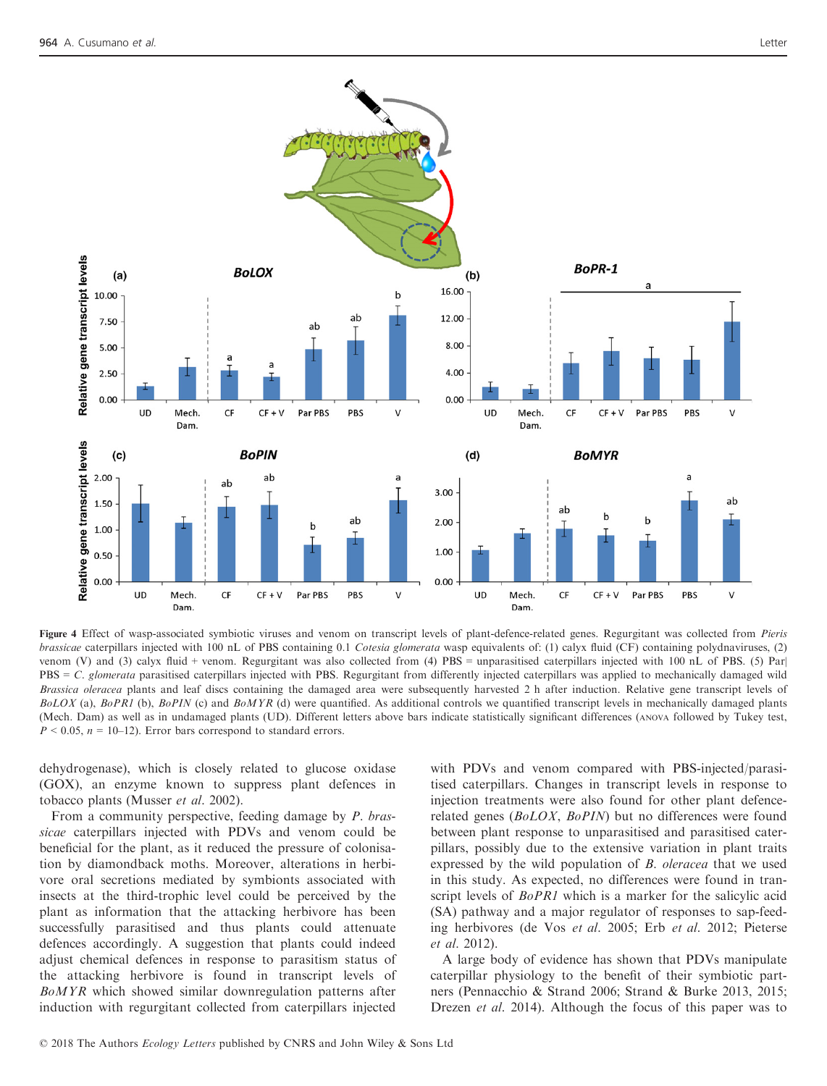

Figure 4 Effect of wasp-associated symbiotic viruses and venom on transcript levels of plant-defence-related genes. Regurgitant was collected from Pieris brassicae caterpillars injected with 100 nL of PBS containing 0.1 Cotesia glomerata wasp equivalents of: (1) calyx fluid (CF) containing polydnaviruses, (2) venom (V) and (3) calyx fluid + venom. Regurgitant was also collected from (4) PBS = unparasitised caterpillars injected with 100 nL of PBS. (5) Par|  $PBS = C$ . glomerata parasitised caterpillars injected with PBS. Regurgitant from differently injected caterpillars was applied to mechanically damaged wild Brassica oleracea plants and leaf discs containing the damaged area were subsequently harvested 2 h after induction. Relative gene transcript levels of  $BolOX$  (a),  $BoPRI$  (b),  $BoPIN$  (c) and  $BoMYR$  (d) were quantified. As additional controls we quantified transcript levels in mechanically damaged plants (Mech. Dam) as well as in undamaged plants (UD). Different letters above bars indicate statistically significant differences (ANOVA followed by Tukey test,  $P < 0.05$ ,  $n = 10-12$ ). Error bars correspond to standard errors.

dehydrogenase), which is closely related to glucose oxidase (GOX), an enzyme known to suppress plant defences in tobacco plants (Musser et al. 2002).

From a community perspective, feeding damage by P. brassicae caterpillars injected with PDVs and venom could be beneficial for the plant, as it reduced the pressure of colonisation by diamondback moths. Moreover, alterations in herbivore oral secretions mediated by symbionts associated with insects at the third-trophic level could be perceived by the plant as information that the attacking herbivore has been successfully parasitised and thus plants could attenuate defences accordingly. A suggestion that plants could indeed adjust chemical defences in response to parasitism status of the attacking herbivore is found in transcript levels of BoMYR which showed similar downregulation patterns after induction with regurgitant collected from caterpillars injected

with PDVs and venom compared with PBS-injected/parasitised caterpillars. Changes in transcript levels in response to injection treatments were also found for other plant defencerelated genes (BoLOX, BoPIN) but no differences were found between plant response to unparasitised and parasitised caterpillars, possibly due to the extensive variation in plant traits expressed by the wild population of B. oleracea that we used in this study. As expected, no differences were found in transcript levels of BoPR1 which is a marker for the salicylic acid (SA) pathway and a major regulator of responses to sap-feeding herbivores (de Vos et al. 2005; Erb et al. 2012; Pieterse et al. 2012).

A large body of evidence has shown that PDVs manipulate caterpillar physiology to the benefit of their symbiotic partners (Pennacchio & Strand 2006; Strand & Burke 2013, 2015; Drezen *et al.* 2014). Although the focus of this paper was to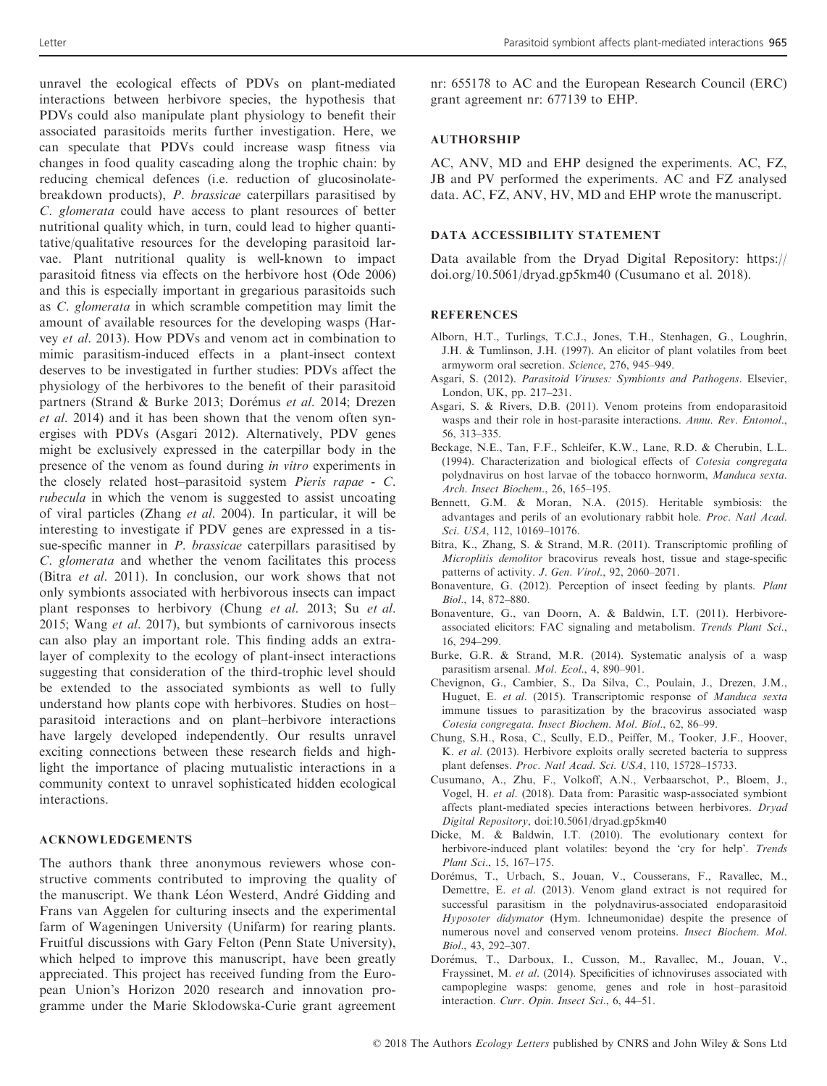unravel the ecological effects of PDVs on plant-mediated interactions between herbivore species, the hypothesis that PDVs could also manipulate plant physiology to benefit their associated parasitoids merits further investigation. Here, we can speculate that PDVs could increase wasp fitness via changes in food quality cascading along the trophic chain: by reducing chemical defences (i.e. reduction of glucosinolatebreakdown products), P. brassicae caterpillars parasitised by C. glomerata could have access to plant resources of better nutritional quality which, in turn, could lead to higher quantitative/qualitative resources for the developing parasitoid larvae. Plant nutritional quality is well-known to impact parasitoid fitness via effects on the herbivore host (Ode 2006) and this is especially important in gregarious parasitoids such as C. glomerata in which scramble competition may limit the amount of available resources for the developing wasps (Harvey et al. 2013). How PDVs and venom act in combination to mimic parasitism-induced effects in a plant-insect context deserves to be investigated in further studies: PDVs affect the physiology of the herbivores to the benefit of their parasitoid partners (Strand & Burke 2013; Dorémus et al. 2014; Drezen et al. 2014) and it has been shown that the venom often synergises with PDVs (Asgari 2012). Alternatively, PDV genes might be exclusively expressed in the caterpillar body in the presence of the venom as found during in vitro experiments in the closely related host–parasitoid system Pieris rapae - C. rubecula in which the venom is suggested to assist uncoating of viral particles (Zhang et al. 2004). In particular, it will be interesting to investigate if PDV genes are expressed in a tissue-specific manner in P. brassicae caterpillars parasitised by C. glomerata and whether the venom facilitates this process (Bitra et al. 2011). In conclusion, our work shows that not only symbionts associated with herbivorous insects can impact plant responses to herbivory (Chung et al. 2013; Su et al. 2015; Wang et al. 2017), but symbionts of carnivorous insects can also play an important role. This finding adds an extralayer of complexity to the ecology of plant-insect interactions suggesting that consideration of the third-trophic level should be extended to the associated symbionts as well to fully understand how plants cope with herbivores. Studies on host– parasitoid interactions and on plant–herbivore interactions have largely developed independently. Our results unravel exciting connections between these research fields and highlight the importance of placing mutualistic interactions in a community context to unravel sophisticated hidden ecological interactions.

#### ACKNOWLEDGEMENTS

The authors thank three anonymous reviewers whose constructive comments contributed to improving the quality of the manuscript. We thank Léon Westerd, André Gidding and Frans van Aggelen for culturing insects and the experimental farm of Wageningen University (Unifarm) for rearing plants. Fruitful discussions with Gary Felton (Penn State University), which helped to improve this manuscript, have been greatly appreciated. This project has received funding from the European Union's Horizon 2020 research and innovation programme under the Marie Sklodowska-Curie grant agreement

nr: 655178 to AC and the European Research Council (ERC) grant agreement nr: 677139 to EHP.

# AUTHORSHIP

AC, ANV, MD and EHP designed the experiments. AC, FZ, JB and PV performed the experiments. AC and FZ analysed data. AC, FZ, ANV, HV, MD and EHP wrote the manuscript.

### DATA ACCESSIBILITY STATEMENT

Data available from the Dryad Digital Repository: [https://](https://doi.org/10.5061/dryad.gp5km40) [doi.org/10.5061/dryad.gp5km40](https://doi.org/10.5061/dryad.gp5km40) (Cusumano et al. 2018).

#### **REFERENCES**

- Alborn, H.T., Turlings, T.C.J., Jones, T.H., Stenhagen, G., Loughrin, J.H. & Tumlinson, J.H. (1997). An elicitor of plant volatiles from beet armyworm oral secretion. Science, 276, 945–949.
- Asgari, S. (2012). Parasitoid Viruses: Symbionts and Pathogens. Elsevier, London, UK, pp. 217–231.
- Asgari, S. & Rivers, D.B. (2011). Venom proteins from endoparasitoid wasps and their role in host-parasite interactions. Annu. Rev. Entomol., 56, 313–335.
- Beckage, N.E., Tan, F.F., Schleifer, K.W., Lane, R.D. & Cherubin, L.L. (1994). Characterization and biological effects of Cotesia congregata polydnavirus on host larvae of the tobacco hornworm, Manduca sexta. Arch. Insect Biochem., 26, 165–195.
- Bennett, G.M. & Moran, N.A. (2015). Heritable symbiosis: the advantages and perils of an evolutionary rabbit hole. Proc. Natl Acad. Sci. USA, 112, 10169–10176.
- Bitra, K., Zhang, S. & Strand, M.R. (2011). Transcriptomic profiling of Microplitis demolitor bracovirus reveals host, tissue and stage-specific patterns of activity. J. Gen. Virol., 92, 2060–2071.
- Bonaventure, G. (2012). Perception of insect feeding by plants. Plant Biol., 14, 872–880.
- Bonaventure, G., van Doorn, A. & Baldwin, I.T. (2011). Herbivoreassociated elicitors: FAC signaling and metabolism. Trends Plant Sci., 16, 294–299.
- Burke, G.R. & Strand, M.R. (2014). Systematic analysis of a wasp parasitism arsenal. Mol. Ecol., 4, 890-901.
- Chevignon, G., Cambier, S., Da Silva, C., Poulain, J., Drezen, J.M., Huguet, E. et al. (2015). Transcriptomic response of Manduca sexta immune tissues to parasitization by the bracovirus associated wasp Cotesia congregata. Insect Biochem. Mol. Biol., 62, 86–99.
- Chung, S.H., Rosa, C., Scully, E.D., Peiffer, M., Tooker, J.F., Hoover, K. et al. (2013). Herbivore exploits orally secreted bacteria to suppress plant defenses. Proc. Natl Acad. Sci. USA, 110, 15728–15733.
- Cusumano, A., Zhu, F., Volkoff, A.N., Verbaarschot, P., Bloem, J., Vogel, H. et al. (2018). Data from: Parasitic wasp-associated symbiont affects plant-mediated species interactions between herbivores. Dryad Digital Repository, doi[:10.5061/dryad.gp5km40](10.5061/dryad.gp5km40)
- Dicke, M. & Baldwin, I.T. (2010). The evolutionary context for herbivore-induced plant volatiles: beyond the 'cry for help'. Trends Plant Sci., 15, 167–175.
- Dorémus, T., Urbach, S., Jouan, V., Cousserans, F., Ravallec, M., Demettre, E. et al. (2013). Venom gland extract is not required for successful parasitism in the polydnavirus-associated endoparasitoid Hyposoter didymator (Hym. Ichneumonidae) despite the presence of numerous novel and conserved venom proteins. Insect Biochem. Mol. Biol., 43, 292–307.
- Dorémus, T., Darboux, I., Cusson, M., Ravallec, M., Jouan, V., Frayssinet, M. et al. (2014). Specificities of ichnoviruses associated with campoplegine wasps: genome, genes and role in host–parasitoid interaction. Curr. Opin. Insect Sci., 6, 44–51.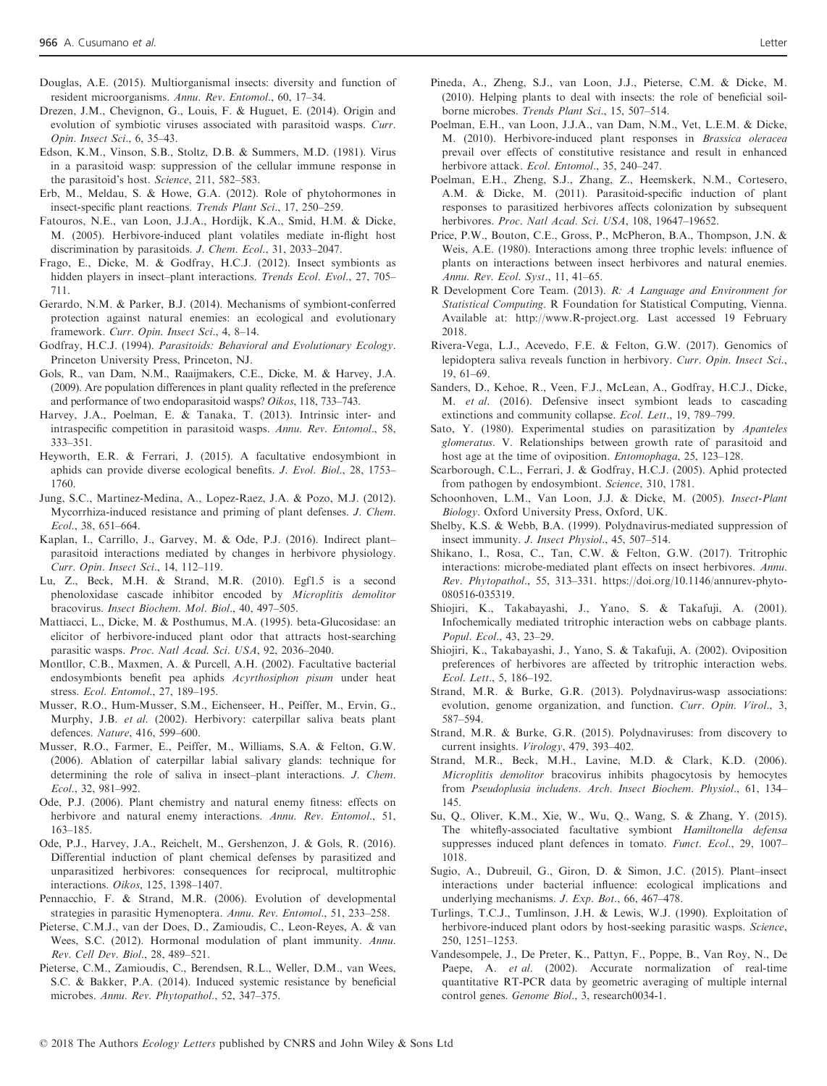- Douglas, A.E. (2015). Multiorganismal insects: diversity and function of resident microorganisms. Annu. Rev. Entomol., 60, 17–34.
- Drezen, J.M., Chevignon, G., Louis, F. & Huguet, E. (2014). Origin and evolution of symbiotic viruses associated with parasitoid wasps. Curr. Opin. Insect Sci., 6, 35–43.
- Edson, K.M., Vinson, S.B., Stoltz, D.B. & Summers, M.D. (1981). Virus in a parasitoid wasp: suppression of the cellular immune response in the parasitoid's host. Science, 211, 582–583.
- Erb, M., Meldau, S. & Howe, G.A. (2012). Role of phytohormones in insect-specific plant reactions. Trends Plant Sci., 17, 250–259.
- Fatouros, N.E., van Loon, J.J.A., Hordijk, K.A., Smid, H.M. & Dicke, M. (2005). Herbivore-induced plant volatiles mediate in-flight host discrimination by parasitoids. J. Chem. Ecol., 31, 2033–2047.
- Frago, E., Dicke, M. & Godfray, H.C.J. (2012). Insect symbionts as hidden players in insect–plant interactions. Trends Ecol. Evol., 27, 705– 711.
- Gerardo, N.M. & Parker, B.J. (2014). Mechanisms of symbiont-conferred protection against natural enemies: an ecological and evolutionary framework. Curr. Opin. Insect Sci., 4, 8–14.
- Godfray, H.C.J. (1994). Parasitoids: Behavioral and Evolutionary Ecology. Princeton University Press, Princeton, NJ.
- Gols, R., van Dam, N.M., Raaijmakers, C.E., Dicke, M. & Harvey, J.A. (2009). Are population differences in plant quality reflected in the preference and performance of two endoparasitoid wasps? Oikos, 118, 733–743.
- Harvey, J.A., Poelman, E. & Tanaka, T. (2013). Intrinsic inter- and intraspecific competition in parasitoid wasps. Annu. Rev. Entomol., 58, 333–351.
- Heyworth, E.R. & Ferrari, J. (2015). A facultative endosymbiont in aphids can provide diverse ecological benefits. J. Evol. Biol., 28, 1753– 1760.
- Jung, S.C., Martinez-Medina, A., Lopez-Raez, J.A. & Pozo, M.J. (2012). Mycorrhiza-induced resistance and priming of plant defenses. J. Chem. Ecol., 38, 651–664.
- Kaplan, I., Carrillo, J., Garvey, M. & Ode, P.J. (2016). Indirect plant– parasitoid interactions mediated by changes in herbivore physiology. Curr. Opin. Insect Sci., 14, 112–119.
- Lu, Z., Beck, M.H. & Strand, M.R. (2010). Egf1.5 is a second phenoloxidase cascade inhibitor encoded by Microplitis demolitor bracovirus. Insect Biochem. Mol. Biol., 40, 497–505.
- Mattiacci, L., Dicke, M. & Posthumus, M.A. (1995). beta-Glucosidase: an elicitor of herbivore-induced plant odor that attracts host-searching parasitic wasps. Proc. Natl Acad. Sci. USA, 92, 2036–2040.
- Montllor, C.B., Maxmen, A. & Purcell, A.H. (2002). Facultative bacterial endosymbionts benefit pea aphids Acyrthosiphon pisum under heat stress. Ecol. Entomol., 27, 189–195.
- Musser, R.O., Hum-Musser, S.M., Eichenseer, H., Peiffer, M., Ervin, G., Murphy, J.B. et al. (2002). Herbivory: caterpillar saliva beats plant defences. Nature, 416, 599–600.
- Musser, R.O., Farmer, E., Peiffer, M., Williams, S.A. & Felton, G.W. (2006). Ablation of caterpillar labial salivary glands: technique for determining the role of saliva in insect–plant interactions. J. Chem. Ecol., 32, 981–992.
- Ode, P.J. (2006). Plant chemistry and natural enemy fitness: effects on herbivore and natural enemy interactions. Annu. Rev. Entomol., 51, 163–185.
- Ode, P.J., Harvey, J.A., Reichelt, M., Gershenzon, J. & Gols, R. (2016). Differential induction of plant chemical defenses by parasitized and unparasitized herbivores: consequences for reciprocal, multitrophic interactions. Oikos, 125, 1398–1407.
- Pennacchio, F. & Strand, M.R. (2006). Evolution of developmental strategies in parasitic Hymenoptera. Annu. Rev. Entomol., 51, 233–258.
- Pieterse, C.M.J., van der Does, D., Zamioudis, C., Leon-Reyes, A. & van Wees, S.C. (2012). Hormonal modulation of plant immunity. Annu. Rev. Cell Dev. Biol., 28, 489–521.
- Pieterse, C.M., Zamioudis, C., Berendsen, R.L., Weller, D.M., van Wees, S.C. & Bakker, P.A. (2014). Induced systemic resistance by beneficial microbes. Annu. Rev. Phytopathol., 52, 347–375.
- Pineda, A., Zheng, S.J., van Loon, J.J., Pieterse, C.M. & Dicke, M. (2010). Helping plants to deal with insects: the role of beneficial soilborne microbes. Trends Plant Sci., 15, 507–514.
- Poelman, E.H., van Loon, J.J.A., van Dam, N.M., Vet, L.E.M. & Dicke, M. (2010). Herbivore-induced plant responses in Brassica oleracea prevail over effects of constitutive resistance and result in enhanced herbivore attack. Ecol. Entomol., 35, 240–247.
- Poelman, E.H., Zheng, S.J., Zhang, Z., Heemskerk, N.M., Cortesero, A.M. & Dicke, M. (2011). Parasitoid-specific induction of plant responses to parasitized herbivores affects colonization by subsequent herbivores. Proc. Natl Acad. Sci. USA, 108, 19647-19652.
- Price, P.W., Bouton, C.E., Gross, P., McPheron, B.A., Thompson, J.N. & Weis, A.E. (1980). Interactions among three trophic levels: influence of plants on interactions between insect herbivores and natural enemies. Annu. Rev. Ecol. Syst., 11, 41–65.
- R Development Core Team. (2013). R: A Language and Environment for Statistical Computing. R Foundation for Statistical Computing, Vienna. Available at:<http://www.R-project.org>. Last accessed 19 February 2018.
- Rivera-Vega, L.J., Acevedo, F.E. & Felton, G.W. (2017). Genomics of lepidoptera saliva reveals function in herbivory. Curr. Opin. Insect Sci., 19, 61–69.
- Sanders, D., Kehoe, R., Veen, F.J., McLean, A., Godfray, H.C.J., Dicke, M. et al. (2016). Defensive insect symbiont leads to cascading extinctions and community collapse. Ecol. Lett., 19, 789–799.
- Sato, Y. (1980). Experimental studies on parasitization by Apanteles glomeratus. V. Relationships between growth rate of parasitoid and host age at the time of oviposition. *Entomophaga*, 25, 123–128.
- Scarborough, C.L., Ferrari, J. & Godfray, H.C.J. (2005). Aphid protected from pathogen by endosymbiont. Science, 310, 1781.
- Schoonhoven, L.M., Van Loon, J.J. & Dicke, M. (2005). Insect-Plant Biology. Oxford University Press, Oxford, UK.
- Shelby, K.S. & Webb, B.A. (1999). Polydnavirus-mediated suppression of insect immunity. J. Insect Physiol., 45, 507–514.
- Shikano, I., Rosa, C., Tan, C.W. & Felton, G.W. (2017). Tritrophic interactions: microbe-mediated plant effects on insect herbivores. Annu. Rev. Phytopathol., 55, 313–331. [https://doi.org/10.1146/annurev-phyto-](https://doi.org/10.1146/annurev-phyto-080516-035319)[080516-035319.](https://doi.org/10.1146/annurev-phyto-080516-035319)
- Shiojiri, K., Takabayashi, J., Yano, S. & Takafuji, A. (2001). Infochemically mediated tritrophic interaction webs on cabbage plants. Popul. Ecol., 43, 23–29.
- Shiojiri, K., Takabayashi, J., Yano, S. & Takafuji, A. (2002). Oviposition preferences of herbivores are affected by tritrophic interaction webs. Ecol. Lett., 5, 186–192.
- Strand, M.R. & Burke, G.R. (2013). Polydnavirus-wasp associations: evolution, genome organization, and function. Curr. Opin. Virol., 3, 587–594.
- Strand, M.R. & Burke, G.R. (2015). Polydnaviruses: from discovery to current insights. Virology, 479, 393–402.
- Strand, M.R., Beck, M.H., Lavine, M.D. & Clark, K.D. (2006). Microplitis demolitor bracovirus inhibits phagocytosis by hemocytes from Pseudoplusia includens. Arch. Insect Biochem. Physiol., 61, 134– 145.
- Su, Q., Oliver, K.M., Xie, W., Wu, Q., Wang, S. & Zhang, Y. (2015). The whitefly-associated facultative symbiont Hamiltonella defensa suppresses induced plant defences in tomato. Funct. Ecol., 29, 1007– 1018.
- Sugio, A., Dubreuil, G., Giron, D. & Simon, J.C. (2015). Plant–insect interactions under bacterial influence: ecological implications and underlying mechanisms. J. Exp. Bot., 66, 467–478.
- Turlings, T.C.J., Tumlinson, J.H. & Lewis, W.J. (1990). Exploitation of herbivore-induced plant odors by host-seeking parasitic wasps. Science, 250, 1251–1253.
- Vandesompele, J., De Preter, K., Pattyn, F., Poppe, B., Van Roy, N., De Paepe, A. et al. (2002). Accurate normalization of real-time quantitative RT-PCR data by geometric averaging of multiple internal control genes. Genome Biol., 3, research0034-1.